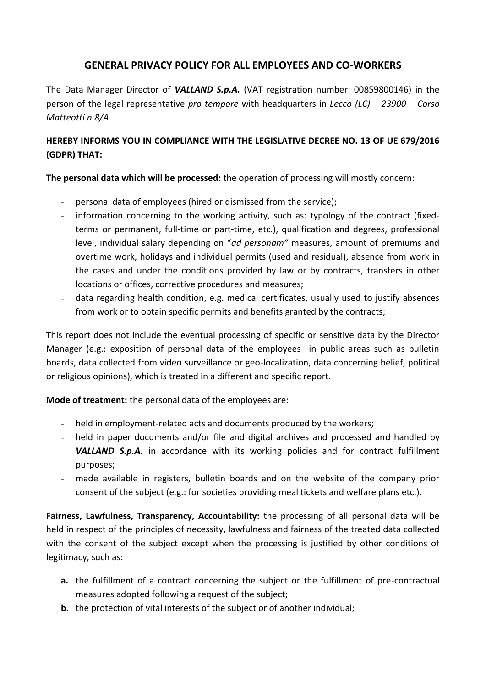## **GENERAL PRIVACY POLICY FOR ALL EMPLOYEES AND CO-WORKERS**

The Data Manager Director of *VALLAND S.p.A.* (VAT registration number: 00859800146) in the person of the legal representative *pro tempore* with headquarters in *Lecco (LC) – 23900 – Corso Matteotti n.8/A*

## **HEREBY INFORMS YOU IN COMPLIANCE WITH THE LEGISLATIVE DECREE NO. 13 OF UE 679/2016 (GDPR) THAT:**

**The personal data which will be processed:** the operation of processing will mostly concern:

- personal data of employees (hired or dismissed from the service);
- information concerning to the working activity, such as: typology of the contract (fixedterms or permanent, full-time or part-time, etc.), qualification and degrees, professional level, individual salary depending on "*ad personam"* measures, amount of premiums and overtime work, holidays and individual permits (used and residual), absence from work [in](http://context.reverso.net/traduzione/inglese-italiano/in+the+cases)  [the cases](http://context.reverso.net/traduzione/inglese-italiano/in+the+cases) and [under](http://context.reverso.net/traduzione/inglese-italiano/under) the [conditions provided by law](http://context.reverso.net/traduzione/inglese-italiano/conditions+provided+for+by+law) or by contracts, transfers in other locations or offices, corrective procedures and measures;
- data regarding health condition, e.g. medical certificates, usually used to justify absences from work or to obtain specific permits and benefits granted by the contracts;

This report does not include the eventual processing of specific or sensitive data by the Director Manager (e.g.: exposition of personal data of the employees in public areas such as bulletin boards, data collected from video surveillance or geo-localization, data concerning belief, political or religious opinions), which is treated in a different and specific report.

**Mode of treatment:** the personal data of the employees are:

- held in employment-related acts and documents produced by the workers;
- held in paper documents and/or file and digital archives and processed and handled by *VALLAND S.p.A.* in accordance with its working policies and for contract fulfillment purposes;
- made available in registers, bulletin boards and on the website of the company prior consent of the subject (e.g.: for societies providing meal tickets and welfare plans etc.).

**Fairness, Lawfulness, Transparency, Accountability:** the processing of all personal data will be held in respect of the principles of necessity, lawfulness and fairness of the treated data collected with the consent of the subject except when the processing is justified by other conditions of legitimacy, such as:

- **a.** the fulfillment of a contract concerning the subject or the fulfillment of pre-contractual measures adopted following a request of the subject;
- **b.** the protection of vital interests of the subject or of another individual;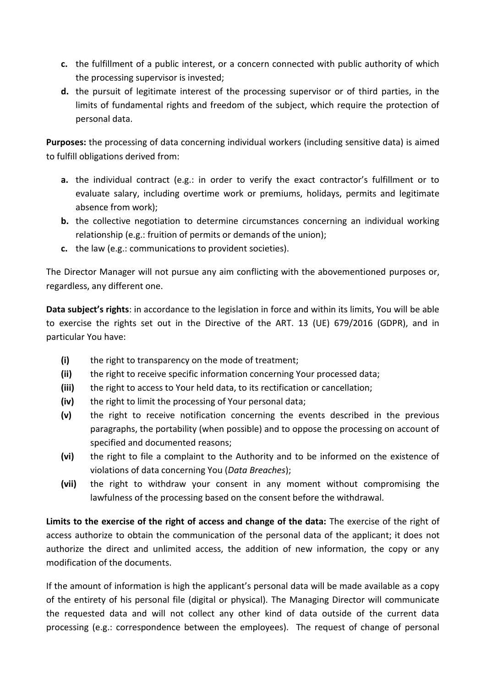- **c.** the fulfillment of a public interest, or a concern connected with public authority of which the processing supervisor is invested;
- **d.** the pursuit of legitimate interest of the processing supervisor or of third parties, in the limits of fundamental rights and freedom of the subject, which require the protection of personal data.

**Purposes:** the processing of data concerning individual workers (including sensitive data) is aimed to fulfill obligations derived from:

- **a.** the individual contract (e.g.: in order to verify the exact contractor's fulfillment or to evaluate salary, including overtime work or premiums, holidays, permits and legitimate absence from work);
- **b.** the collective negotiation to determine circumstances concerning an individual working relationship (e.g.: fruition of permits or demands of the union);
- **c.** the law (e.g.: communications to provident societies).

The Director Manager will not pursue any aim conflicting with the abovementioned purposes or, regardless, any different one.

**Data subject's rights**: in accordance to the legislation in force and within its limits, You will be able to exercise the rights set out in the Directive of the ART. 13 (UE) 679/2016 (GDPR), and in particular You have:

- **(i)** the right to transparency on the mode of treatment;
- **(ii)** the right to receive specific information concerning Your processed data;
- **(iii)** the right to access to Your held data, to its rectification or cancellation;
- **(iv)** the right to limit the processing of Your personal data;
- **(v)** the right to receive notification concerning the events described in the previous paragraphs, the portability (when possible) and to oppose the processing on account of specified and documented reasons;
- **(vi)** the right to file a complaint to the Authority and to be informed on the existence of violations of data concerning You (*Data Breaches*);
- **(vii)** the right to withdraw your consent in any moment without compromising the lawfulness of the processing based on the consent before the withdrawal.

**Limits to the exercise of the right of access and change of the data:** The exercise of the right of access authorize to obtain the communication of the personal data of the applicant; it does not authorize the direct and unlimited access, the addition of new information, the copy or any modification of the documents.

If the amount of information is high the applicant's personal data will be made available as a copy of the entirety of his personal file (digital or physical). The Managing Director will communicate the requested data and will not collect any other kind of data outside of the current data processing (e.g.: correspondence between the employees). The request of change of personal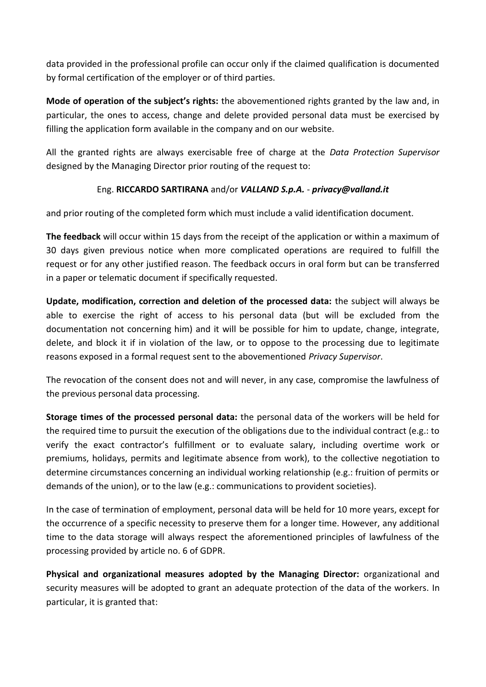data provided in the professional profile can occur only if the claimed qualification is documented by formal certification of the employer or of third parties.

**Mode of operation of the subject's rights:** the abovementioned rights granted by the law and, in particular, the ones to access, change and delete provided personal data must be exercised by filling the application form available in the company and on our website.

All the granted rights are always exercisable free of charge at the *Data Protection Supervisor* designed by the Managing Director prior routing of the request to:

## Eng. **RICCARDO SARTIRANA** and/or *VALLAND S.p.A.* - *privacy@valland.it*

and prior routing of the completed form which must include a valid identification document.

**The feedback** will occur within 15 days from the receipt of the application or within a maximum of 30 days given previous notice when more complicated operations are required to fulfill the request or for any other justified reason. The feedback occurs in oral form but can be transferred in a paper or telematic document if specifically requested.

**Update, modification, correction and deletion of the processed data:** the subject will always be able to exercise the right of access to his personal data (but will be excluded from the documentation not concerning him) and it will be possible for him to update, change, integrate, delete, and block it if in violation of the law, or to oppose to the processing due to legitimate reasons exposed in a formal request sent to the abovementioned *Privacy Supervisor*.

The revocation of the consent does not and will never, in any case, compromise the lawfulness of the previous personal data processing.

**Storage times of the processed personal data:** the personal data of the workers will be held for the required time to pursuit the execution of the obligations due to the individual contract (e.g.: to verify the exact contractor's fulfillment or to evaluate salary, including overtime work or premiums, holidays, permits and legitimate absence from work), to the collective negotiation to determine circumstances concerning an individual working relationship (e.g.: fruition of permits or demands of the union), or to the law (e.g.: communications to provident societies).

In the case of termination of employment, personal data will be held for 10 more years, except for the occurrence of a specific necessity to preserve them for a longer time. However, any additional time to the data storage will always respect the aforementioned principles of lawfulness of the processing provided by article no. 6 of GDPR.

**Physical and organizational measures adopted by the Managing Director:** organizational and security measures will be adopted to grant an adequate protection of the data of the workers. In particular, it is granted that: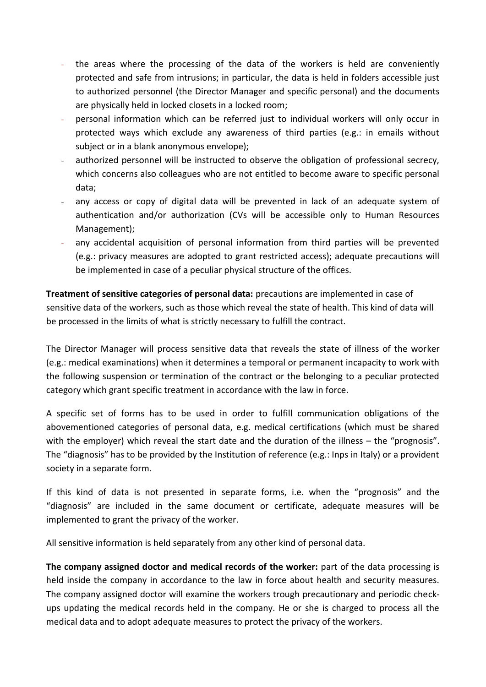- the areas where the processing of the data of the workers is held are conveniently protected and safe from intrusions; in particular, the data is held in folders accessible just to authorized personnel (the Director Manager and specific personal) and the documents are physically held in locked closets in a locked room;
- personal information which can be referred just to individual workers will only occur in protected ways which exclude any awareness of third parties (e.g.: in emails without subject or in a blank anonymous envelope);
- authorized personnel will be instructed to observe the obligation of professional secrecy, which concerns also colleagues who are not entitled to become aware to specific personal data;
- any access or copy of digital data will be prevented in lack of an adequate system of authentication and/or authorization (CVs will be accessible only to Human Resources Management);
- any accidental acquisition of personal information from third parties will be prevented (e.g.: privacy measures are adopted to grant restricted access); adequate precautions will be implemented in case of a peculiar physical structure of the offices.

**Treatment of sensitive categories of personal data:** precautions are implemented in case of sensitive data of the workers, such as those which reveal the state of health. This kind of data will be processed in the limits of what is strictly necessary to fulfill the contract.

The Director Manager will process sensitive data that reveals the state of illness of the worker (e.g.: medical examinations) when it determines a temporal or permanent incapacity to work with the following suspension or termination of the contract or the belonging to a peculiar protected category which grant specific treatment in accordance with the law in force.

A specific set of forms has to be used in order to fulfill communication obligations of the abovementioned categories of personal data, e.g. medical certifications (which must be shared with the employer) which reveal the start date and the duration of the illness – the "prognosis". The "diagnosis" has to be provided by the Institution of reference (e.g.: Inps in Italy) or a provident society in a separate form.

If this kind of data is not presented in separate forms, i.e. when the "prognosis" and the "diagnosis" are included in the same document or certificate, adequate measures will be implemented to grant the privacy of the worker.

All sensitive information is held separately from any other kind of personal data.

**The company assigned doctor and medical records of the worker:** part of the data processing is held inside the company in accordance to the law in force about health and security measures. The company assigned doctor will examine the workers trough precautionary and periodic checkups updating the medical records held in the company. He or she is charged to process all the medical data and to adopt adequate measures to protect the privacy of the workers.